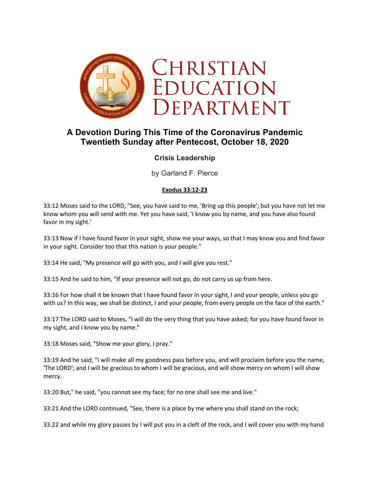

# **A Devotion During This Time of the Coronavirus Pandemic Twentieth Sunday after Pentecost, October 18, 2020**

## **Crisis Leadership**

by Garland F. Pierce

## **Exodus 33:12-23**

33:12 Moses said to the LORD, "See, you have said to me, 'Bring up this people'; but you have not let me know whom you will send with me. Yet you have said, 'I know you by name, and you have also found favor in my sight.'

33:13 Now if I have found favor in your sight, show me your ways, so that I may know you and find favor in your sight. Consider too that this nation is your people."

33:14 He said, "My presence will go with you, and I will give you rest."

33:15 And he said to him, "If your presence will not go, do not carry us up from here.

33:16 For how shall it be known that I have found favor in your sight, I and your people, unless you go with us? In this way, we shall be distinct, I and your people, from every people on the face of the earth."

33:17 The LORD said to Moses, "I will do the very thing that you have asked; for you have found favor in my sight, and I know you by name."

33:18 Moses said, "Show me your glory, I pray."

33:19 And he said, "I will make all my goodness pass before you, and will proclaim before you the name, 'The LORD'; and I will be gracious to whom I will be gracious, and will show mercy on whom I will show mercy.

33:20 But," he said, "you cannot see my face; for no one shall see me and live."

33:21 And the LORD continued, "See, there is a place by me where you shall stand on the rock;

33:22 and while my glory passes by I will put you in a cleft of the rock, and I will cover you with my hand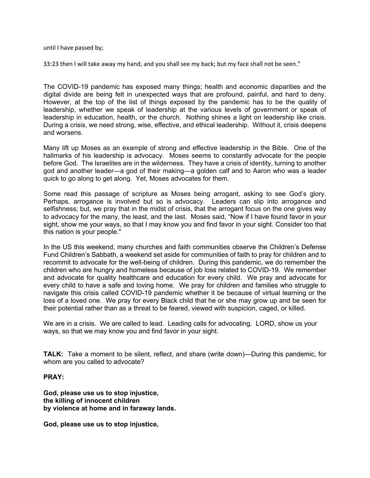#### until I have passed by;

33:23 then I will take away my hand, and you shall see my back; but my face shall not be seen."

The COVID-19 pandemic has exposed many things; health and economic disparities and the digital divide are being felt in unexpected ways that are profound, painful, and hard to deny. However, at the top of the list of things exposed by the pandemic has to be the quality of leadership, whether we speak of leadership at the various levels of government or speak of leadership in education, health, or the church. Nothing shines a light on leadership like crisis. During a crisis, we need strong, wise, effective, and ethical leadership. Without it, crisis deepens and worsens.

Many lift up Moses as an example of strong and effective leadership in the Bible. One of the hallmarks of his leadership is advocacy. Moses seems to constantly advocate for the people before God. The Israelites are in the wilderness. They have a crisis of identity, turning to another god and another leader—a god of their making—a golden calf and to Aaron who was a leader quick to go along to get along. Yet, Moses advocates for them.

Some read this passage of scripture as Moses being arrogant, asking to see God's glory. Perhaps, arrogance is involved but so is advocacy. Leaders can slip into arrogance and selfishness; but, we pray that in the midst of crisis, that the arrogant focus on the one gives way to advocacy for the many, the least, and the last. Moses said, "Now if I have found favor in your sight, show me your ways, so that I may know you and find favor in your sight. Consider too that this nation is your people."

In the US this weekend, many churches and faith communities observe the Children's Defense Fund Children's Sabbath, a weekend set aside for communities of faith to pray for children and to recommit to advocate for the well-being of children. During this pandemic, we do remember the children who are hungry and homeless because of job loss related to COVID-19. We remember and advocate for quality healthcare and education for every child. We pray and advocate for every child to have a safe and loving home. We pray for children and families who struggle to navigate this crisis called COVID-19 pandemic whether it be because of virtual learning or the loss of a loved one. We pray for every Black child that he or she may grow up and be seen for their potential rather than as a threat to be feared, viewed with suspicion, caged, or killed.

We are in a crisis. We are called to lead. Leading calls for advocating. LORD, show us your ways, so that we may know you and find favor in your sight.

**TALK:** Take a moment to be silent, reflect, and share (write down)—During this pandemic, for whom are you called to advocate?

### **PRAY:**

**God, please use us to stop injustice, the killing of innocent children by violence at home and in faraway lands.** 

**God, please use us to stop injustice,**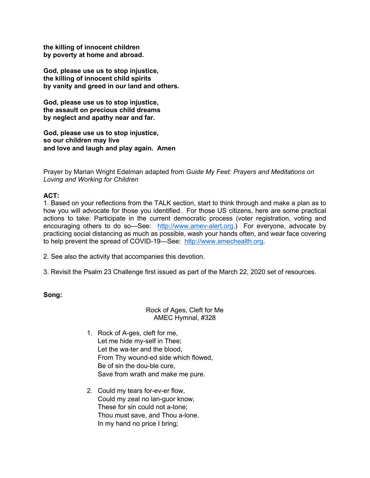**the killing of innocent children by poverty at home and abroad.** 

**God, please use us to stop injustice, the killing of innocent child spirits by vanity and greed in our land and others.** 

**God, please use us to stop injustice, the assault on precious child dreams by neglect and apathy near and far.** 

**God, please use us to stop injustice, so our children may live and love and laugh and play again. Amen**

Prayer by Marian Wright Edelman adapted from *Guide My Feet: Prayers and Meditations on Loving and Working for Children*

## **ACT:**

1. Based on your reflections from the TALK section, start to think through and make a plan as to how you will advocate for those you identified. For those US citizens, here are some practical actions to take: Participate in the current democratic process (voter registration, voting and encouraging others to do so-See: http://www.amev-alert.org.) For everyone, advocate by practicing social distancing as much as possible, wash your hands often, and wear face covering to help prevent the spread of COVID-19—See: http://www.amechealth.org.

2. See also the activity that accompanies this devotion.

3. Revisit the Psalm 23 Challenge first issued as part of the March 22, 2020 set of resources.

**Song:**

## Rock of Ages, Cleft for Me AMEC Hymnal, #328

- 1. Rock of A-ges, cleft for me, Let me hide my-self in Thee; Let the wa-ter and the blood, From Thy wound-ed side which flowed, Be of sin the dou-ble cure, Save from wrath and make me pure.
- 2. Could my tears for-ev-er flow, Could my zeal no lan-guor know, These for sin could not a-tone; Thou must save, and Thou a-lone. In my hand no price I bring;